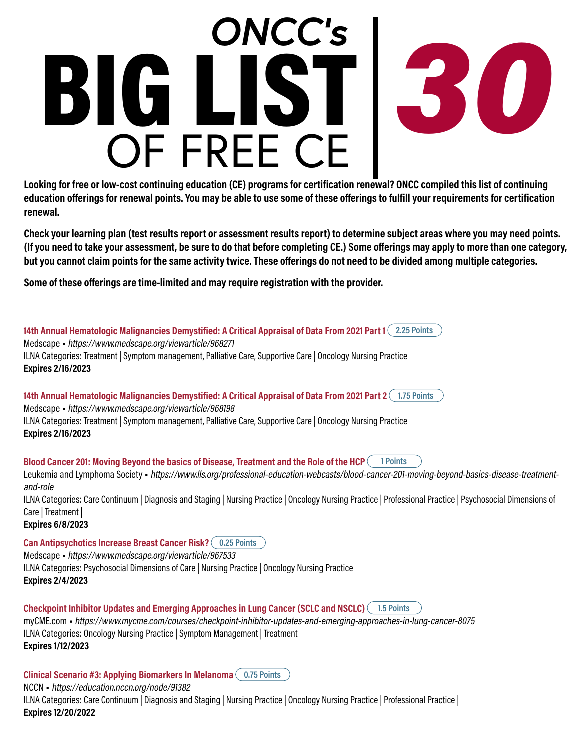## OF FREE CE BIG LIST *30 ONCC's*

**Looking for free or low-cost continuing education (CE) programs for certification renewal? ONCC compiled this list of continuing education offerings for renewal points. You may be able to use some of these offerings to fulfill your requirements for certification renewal.**

**Check your learning plan (test results report or assessment results report) to determine subject areas where you may need points. (If you need to take your assessment, be sure to do that before completing CE.) Some offerings may apply to more than one category, but you cannot claim points for the same activity twice. These offerings do not need to be divided among multiple categories.**

**Some of these offerings are time-limited and may require registration with the provider.**

**14th Annual Hematologic Malignancies Demystified: A Critical Appraisal of Data From 2021 Part 1 2.25 Points** Medscape • https://www.medscape.org/viewarticle/968271 ILNA Categories: Treatment | Symptom management, Palliative Care, Supportive Care | Oncology Nursing Practice **Expires 2/16/2023**

**14th Annual Hematologic Malignancies Demystified: A Critical Appraisal of Data From 2021 Part 2 1.75 Points** Medscape • https://www.medscape.org/viewarticle/968198 ILNA Categories: Treatment | Symptom management, Palliative Care, Supportive Care | Oncology Nursing Practice **Expires 2/16/2023**

**Blood Cancer 201: Moving Beyond the basics of Disease, Treatment and the Role of the HCP 1 Points**

Leukemia and Lymphoma Society • https://www.lls.org/professional-education-webcasts/blood-cancer-201-moving-beyond-basics-disease-treatmentand-role

ILNA Categories: Care Continuum | Diagnosis and Staging | Nursing Practice | Oncology Nursing Practice | Professional Practice | Psychosocial Dimensions of Care | Treatment |

**Expires 6/8/2023**

**Can Antipsychotics Increase Breast Cancer Risk? 0.25 Points**

Medscape • https://www.medscape.org/viewarticle/967533

ILNA Categories: Psychosocial Dimensions of Care | Nursing Practice | Oncology Nursing Practice **Expires 2/4/2023**

**Checkpoint Inhibitor Updates and Emerging Approaches in Lung Cancer (SCLC and NSCLC) 1.5 Points** myCME.com • https://www.mycme.com/courses/checkpoint-inhibitor-updates-and-emerging-approaches-in-lung-cancer-8075 ILNA Categories: Oncology Nursing Practice | Symptom Management | Treatment **Expires 1/12/2023**

**Clinical Scenario #3: Applying Biomarkers In Melanoma 0.75 Points**

NCCN • https://education.nccn.org/node/91382

ILNA Categories: Care Continuum | Diagnosis and Staging | Nursing Practice | Oncology Nursing Practice | Professional Practice | **Expires 12/20/2022**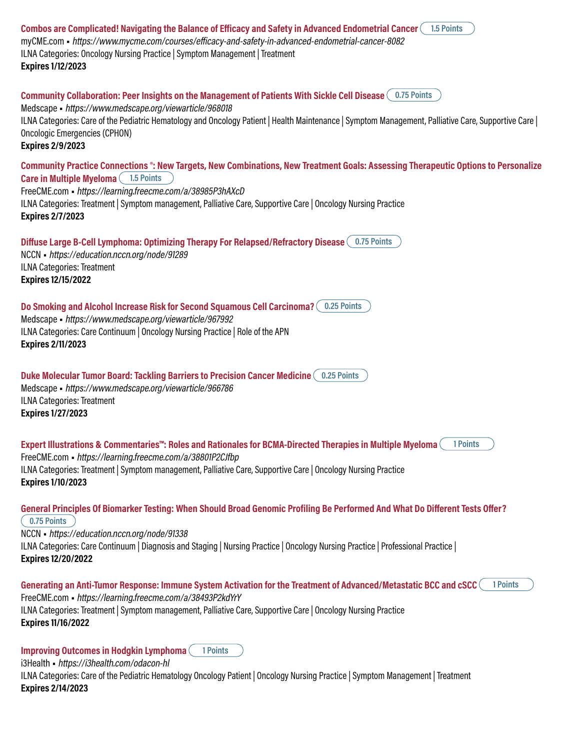**Combos are Complicated! Navigating the Balance of Efficacy and Safety in Advanced Endometrial Cancer 1.5 Points** myCME.com • https://www.mycme.com/courses/efficacy-and-safety-in-advanced-endometrial-cancer-8082 ILNA Categories: Oncology Nursing Practice | Symptom Management | Treatment **Expires 1/12/2023 Community Collaboration: Peer Insights on the Management of Patients With Sickle Cell Disease 0.75 Points** Medscape • https://www.medscape.org/viewarticle/968018 ILNA Categories: Care of the Pediatric Hematology and Oncology Patient | Health Maintenance | Symptom Management, Palliative Care, Supportive Care | Oncologic Emergencies (CPHON) **Expires 2/9/2023 Community Practice Connections ®: New Targets, New Combinations, New Treatment Goals: Assessing Therapeutic Options to Personalize Care in Multiple Myeloma 1.5 Points** FreeCME.com • https://learning.freecme.com/a/38985P3hAXcD ILNA Categories: Treatment | Symptom management, Palliative Care, Supportive Care | Oncology Nursing Practice **Expires 2/7/2023 Diffuse Large B-Cell Lymphoma: Optimizing Therapy For Relapsed/Refractory Disease 0.75 Points** NCCN • https://education.nccn.org/node/91289 ILNA Categories: Treatment **Expires 12/15/2022 Do Smoking and Alcohol Increase Risk for Second Squamous Cell Carcinoma? 0.25 Points** Medscape • https://www.medscape.org/viewarticle/967992 ILNA Categories: Care Continuum | Oncology Nursing Practice | Role of the APN **Expires 2/11/2023 Duke Molecular Tumor Board: Tackling Barriers to Precision Cancer Medicine 0.25 Points** Medscape • https://www.medscape.org/viewarticle/966786 ILNA Categories: Treatment **Expires 1/27/2023 Expert Illustrations & Commentaries™: Roles and Rationales for BCMA-Directed Therapies in Multiple Myeloma 1 Points** FreeCME.com • https://learning.freecme.com/a/38801P2CJfbp ILNA Categories: Treatment | Symptom management, Palliative Care, Supportive Care | Oncology Nursing Practice **Expires 1/10/2023 General Principles Of Biomarker Testing: When Should Broad Genomic Profiling Be Performed And What Do Different Tests Offer? 0.75 Points** NCCN • https://education.nccn.org/node/91338 ILNA Categories: Care Continuum | Diagnosis and Staging | Nursing Practice | Oncology Nursing Practice | Professional Practice | **Expires 12/20/2022 Generating an Anti-Tumor Response: Immune System Activation for the Treatment of Advanced/Metastatic BCC and cSCC 1 Points** FreeCME.com • https://learning.freecme.com/a/38493P2kdYrY ILNA Categories: Treatment | Symptom management, Palliative Care, Supportive Care | Oncology Nursing Practice **Expires 11/16/2022 Improving Outcomes in Hodgkin Lymphoma 1 Points** i3Health • https://i3health.com/odacon-hl

ILNA Categories: Care of the Pediatric Hematology Oncology Patient | Oncology Nursing Practice | Symptom Management | Treatment **Expires 2/14/2023**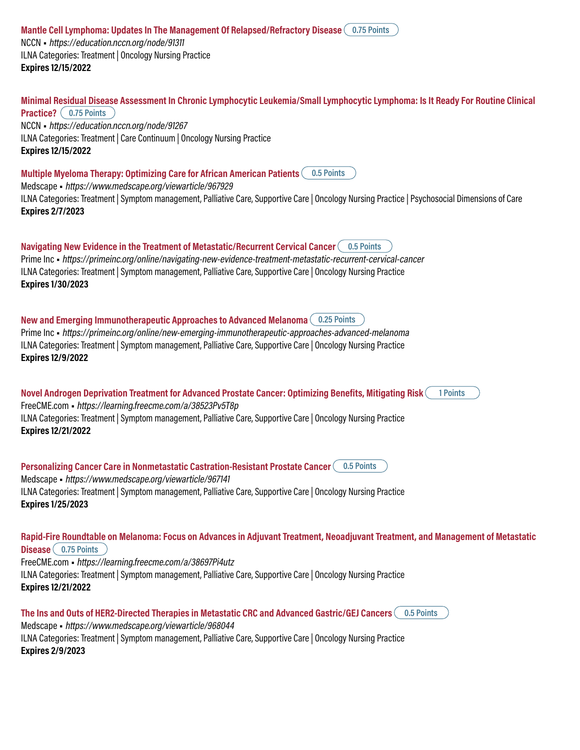**Mantle Cell Lymphoma: Updates In The Management Of Relapsed/Refractory Disease 0.75 Points** NCCN • https://education.nccn.org/node/91311 ILNA Categories: Treatment | Oncology Nursing Practice **Expires 12/15/2022**

**Minimal Residual Disease Assessment In Chronic Lymphocytic Leukemia/Small Lymphocytic Lymphoma: Is It Ready For Routine Clinical Practice?**  $($  0.75 Points  $)$ NCCN • https://education.nccn.org/node/91267 ILNA Categories: Treatment | Care Continuum | Oncology Nursing Practice **Expires 12/15/2022**

**Multiple Myeloma Therapy: Optimizing Care for African American Patients 0.5 Points**

Medscape • https://www.medscape.org/viewarticle/967929

ILNA Categories: Treatment | Symptom management, Palliative Care, Supportive Care | Oncology Nursing Practice | Psychosocial Dimensions of Care **Expires 2/7/2023**

**Navigating New Evidence in the Treatment of Metastatic/Recurrent Cervical Cancer 0.5 Points** Prime Inc • https://primeinc.org/online/navigating-new-evidence-treatment-metastatic-recurrent-cervical-cancer ILNA Categories: Treatment | Symptom management, Palliative Care, Supportive Care | Oncology Nursing Practice **Expires 1/30/2023**

**New and Emerging Immunotherapeutic Approaches to Advanced Melanoma 0.25 Points** Prime Inc • https://primeinc.org/online/new-emerging-immunotherapeutic-approaches-advanced-melanoma ILNA Categories: Treatment | Symptom management, Palliative Care, Supportive Care | Oncology Nursing Practice **Expires 12/9/2022**

**Novel Androgen Deprivation Treatment for Advanced Prostate Cancer: Optimizing Benefits, Mitigating Risk 1 Points** FreeCME.com • https://learning.freecme.com/a/38523Pv5T8p ILNA Categories: Treatment | Symptom management, Palliative Care, Supportive Care | Oncology Nursing Practice **Expires 12/21/2022**

**Personalizing Cancer Care in Nonmetastatic Castration-Resistant Prostate Cancer 0.5 Points** Medscape • https://www.medscape.org/viewarticle/967141 ILNA Categories: Treatment | Symptom management, Palliative Care, Supportive Care | Oncology Nursing Practice **Expires 1/25/2023**

**Rapid-Fire Roundtable on Melanoma: Focus on Advances in Adjuvant Treatment, Neoadjuvant Treatment, and Management of Metastatic Disease 0.75 Points** FreeCME.com • https://learning.freecme.com/a/38697Pi4utz ILNA Categories: Treatment | Symptom management, Palliative Care, Supportive Care | Oncology Nursing Practice **Expires 12/21/2022**

**The Ins and Outs of HER2-Directed Therapies in Metastatic CRC and Advanced Gastric/GEJ Cancers 0.5 Points** Medscape • https://www.medscape.org/viewarticle/968044 ILNA Categories: Treatment | Symptom management, Palliative Care, Supportive Care | Oncology Nursing Practice **Expires 2/9/2023**